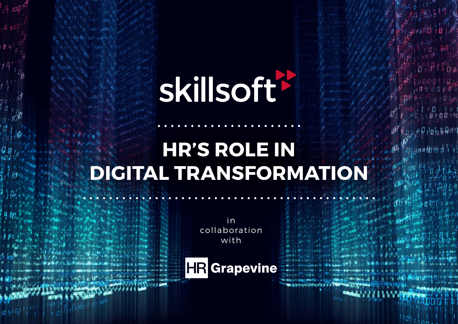# **skillsoft\***

# **HR'S ROLE IN DIGITAL TRANSFORMATION**

in collaboration with

**HR** Grapevine

 $10h^{10}$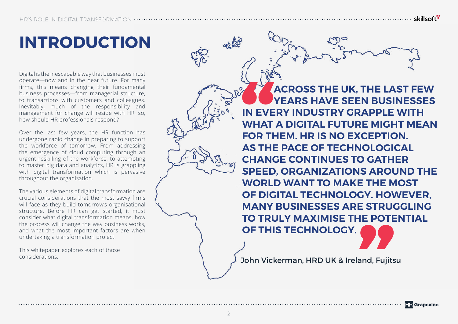# **INTRODUCTION**

Digital is the inescapable way that businesses must operate—now and in the near future. For many firms, this means changing their fundamental business processes—from managerial structure, to transactions with customers and colleagues. Inevitably, much of the responsibility and management for change will reside with HR; so, how should HR professionals respond?

Over the last few years, the HR function has undergone rapid change in preparing to support the workforce of tomorrow. From addressing the emergence of cloud computing through an urgent reskilling of the workforce, to attempting to master big data and analytics, HR is grappling with digital transformation which is pervasive throughout the organisation.

The various elements of digital transformation are crucial considerations that the most savvy firms will face as they build tomorrow's organisational structure. Before HR can get started, it must consider what digital transformation means, how the process will change the way business works, and what the most important factors are when undertaking a transformation project.

This whitepaper explores each of those

**EVERTH**<br>FOR TH<br>AS THI<br>CHANG **ACROSS THE UK, THE LAST FEW YEARS HAVE SEEN BUSINESSES IN EVERY INDUSTRY GRAPPLE WITH WHAT A DIGITAL FUTURE MIGHT MEAN FOR THEM. HR IS NO EXCEPTION. AS THE PACE OF TECHNOLOGICAL CHANGE CONTINUES TO GATHER SPEED, ORGANIZATIONS AROUND THE WORLD WANT TO MAKE THE MOST OF DIGITAL TECHNOLOGY. HOWEVER, MANY BUSINESSES ARE STRUGGLING TO TRULY MAXIMISE THE POTENTIAL OF THIS TECHNOLOGY."**

considerations. The considerations.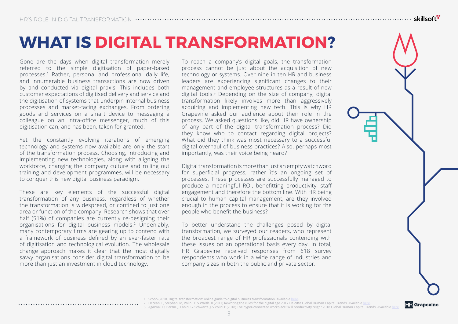### **WHAT IS DIGITAL TRANSFORMATION?**

Gone are the days when digital transformation merely referred to the simple digitisation of paper-based processes.1 Rather, personal and professional daily life, and innumerable business transactions are now driven by and conducted via digital praxis. This includes both customer expectations of digitised delivery and service and the digitisation of systems that underpin internal business processes and market-facing exchanges. From ordering goods and services on a smart device to messaging a colleague on an intra-office messenger, much of this digitisation can, and has been, taken for granted.

Yet the constantly evolving iterations of emerging technology and systems now available are only the start of the transformation process. Choosing, introducing and implementing new technologies, along with aligning the workforce, changing the company culture and rolling out training and development programmes, will be necessary to conquer this new digital business paradigm.

These are key elements of the successful digital transformation of any business, regardless of whether the transformation is widespread, or confined to just one area or function of the company. Research shows that over half (51%) of companies are currently re-designing their organisations for digital business models.2 Undeniably, many contemporary firms are gearing up to contend with a framework of business defined by an ever-faster rate of digitisation and technological evolution. The wholesale change approach makes it clear that the most digitally savvy organisations consider digital transformation to be more than just an investment in cloud technology.

To reach a company's digital goals, the transformation process cannot be just about the acquisition of new technology or systems. Over nine in ten HR and business leaders are experiencing significant changes to their management and employee structures as a result of new digital tools.3 Depending on the size of company, digital transformation likely involves more than aggressively acquiring and implementing new tech. This is why HR Grapevine asked our audience about their role in the process. We asked questions like, did HR have ownership of any part of the digital transformation process? Did they know who to contact regarding digital projects? What did they think was most necessary to a successful digital overhaul of business practices? Also, perhaps most importantly, was their voice being heard?

Digital transformation is more than just an empty watchword for superficial progress, rather it's an ongoing set of processes. These processes are successfully managed to produce a meaningful ROI, benefitting productivity, staff engagement and therefore the bottom line. With HR being crucial to human capital management, are they involved enough in the process to ensure that it is working for the people who benefit the business?

To better understand the challenges posed by digital transformation, we surveyed our readers, who represent the broadest range of HR professionals contending with these issues on an operational basis every day. In total, HR Grapevine received responses from 618 survey respondents who work in a wide range of industries and company sizes in both the public and private sector.



**HR** Grapevine

1. Scoop (2018. Digital transformation: online guide to digital business transformation. Available <u>here</u>.<br>2. Occean. P, Stephan. M, Volini. E & Walsh. B (2017) Rewriting the rules for the digital age 2017 Deloitte Globa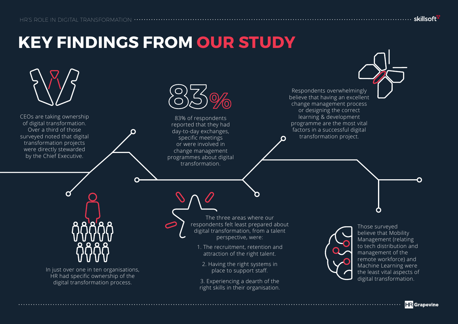# **KEY FINDINGS FROM OUR STUDY**

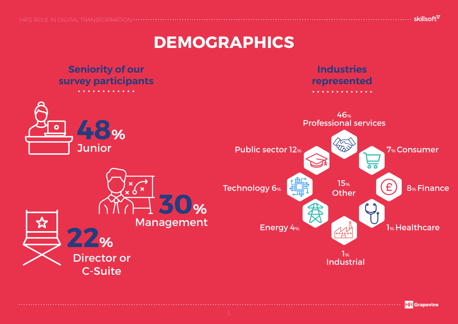**DEMOGRAPHICS**



skillsoft<sup>\*</sup>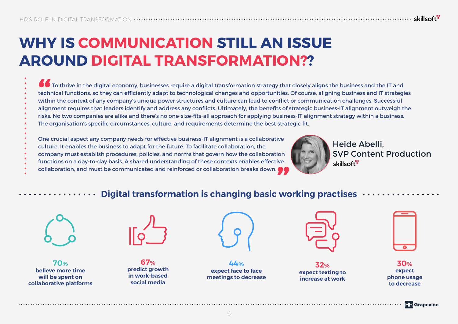### **WHY IS COMMUNICATION STILL AN ISSUE AROUND DIGITAL TRANSFORMATION??**

To thrive in the digital economy, businesses require a digital transformation strategy that closely aligns the business and the IT and technical functions, so they can efficiently adapt to technological changes and opportunities. Of course, aligning business and IT strategies within the context of any company's unique power structures and culture can lead to conflict or communication challenges. Successful alignment requires that leaders identify and address any conflicts. Ultimately, the benefits of strategic business-IT alignment outweigh the risks. No two companies are alike and there's no one-size-fits-all approach for applying business-IT alignment strategy within a business. The organisation's specific circumstances, culture, and requirements determine the best strategic fit.

One crucial aspect any company needs for effective business-IT alignment is a collaborative

- culture. It enables the business to adapt for the future. To facilitate collaboration, the
- company must establish procedures, policies, and norms that govern how the collaboration
- functions on a day-to-day basis. A shared understanding of these contexts enables effective company must establish procedures, policies, and norms that govern how the collaboration<br>functions on a day-to-day basis. A shared understanding of these contexts enables effective<br>collaboration, and must be communicated a
- 



Heide Abelli, SVP Content Production skillsoft<sup>\*</sup>

#### **Digital transformation is changing basic working practises**



**70% believe more time will be spent on collaborative platforms**



**67% predict growth in work-based social media**



**44% expect face to face meetings to decrease**



**32% expect texting to increase at work**

| ٠ |  |
|---|--|

**30% expect phone usage to decrease**



skillsoft<sup>"</sup>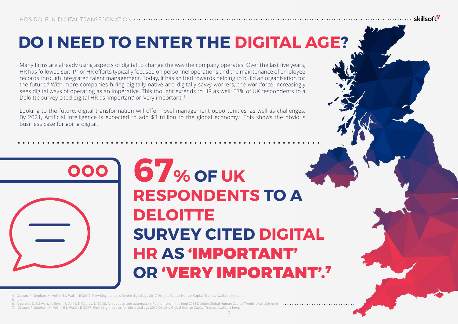# **DO I NEED TO ENTER THE DIGITAL AGE?**

Many firms are already using aspects of digital to change the way the company operates. Over the last five years, HR has followed suit. Prior HR efforts typically focused on personnel operations and the maintenance of employee records through integrated talent management. Today, it has shifted towards helping to build an organisation for the future.4 With more companies hiring digitally native and digitally savvy workers, the workforce increasingly sees digital ways of operating as an imperative. This thought extends to HR as well: 67% of UK respondents to a Deloitte survey cited digital HR as 'important' or 'very important'.5

Looking to the future, digital transformation will offer novel management opportunities, as well as challenges. By 2021, Artificial Intelligence is expected to add \$3 trillion to the global economy.<sup>6</sup> This shows the obvious business case for going digital.



# **67% OF UK RESPONDENTS TO A DELOITTE SURVEY CITED DIGITAL HR AS** 'IMPORTANT' **OR** 'VERY IMPORTANT'.7

skillsoft<sup>\*</sup>

4. Occean. P, Stephan. M, Volini. E & Walsh. B (2017) Rewriting the rules for the digital age 2017 Deloitte Global Human Capital Trends. Available [here.](https://www2.deloitte.com/content/dam/Deloitte/global/Documents/HumanCapital/hc-2017-global-human-capital-trends-gx.pdf)

5. Ibid.

wal. D, Schwartz. J, Bersin. J, Volini. E, Gaurav. L (2018). AI, robotics, and automation: Put humans in the loop 2018 Deloitte Global Human Capital Trends. A

7. Occean. P, Stephan. M, Volini. E & Walsh. B (2017) Rewriting the rules for the digital age 2017 Deloitte Global Human Capital Trends. Available here.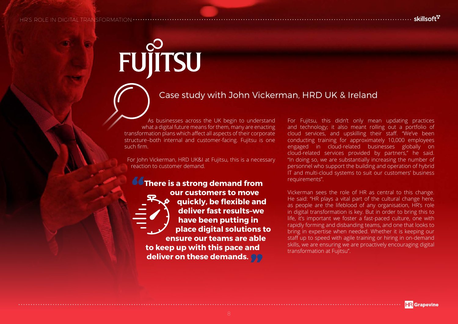# FUJITSU

**"**

#### Case study with John Vickerman, HRD UK & Ireland

As businesses across the UK begin to understand what a digital future means for them, many are enacting transformation plans which affect all aspects of their corporate structure–both internal and customer-facing. Fujitsu is one such firm.

For John Vickerman, HRD UK&I at Fujitsu, this is a necessary reaction to customer demand.

> **There is a strong demand from our customers to move quickly, be flexible and deliver fast results–we have been putting in place digital solutions to ensure our teams are able to keep up with this pace and deliver on these demands."**

For Fujitsu, this didn't only mean updating practices and technology; it also meant rolling out a portfolio of cloud services, and upskilling their staff. "We've been conducting training for approximately 10,000 employees engaged in cloud-related businesses globally on cloud-related services provided by partners," he said. "In doing so, we are substantially increasing the number of personnel who support the building and operation of hybrid IT and multi-cloud systems to suit our customers' business requirements".

Vickerman sees the role of HR as central to this change. He said: "HR plays a vital part of the cultural change here, as people are the lifeblood of any organisation, HR's role in digital transformation is key. But in order to bring this to life, it's important we foster a fast-paced culture, one with rapidly forming and disbanding teams, and one that looks to bring in expertise when needed. Whether it is keeping our staff up to speed with agile training or hiring in on-demand skills, we are ensuring we are proactively encouraging digital transformation at Fujitsu".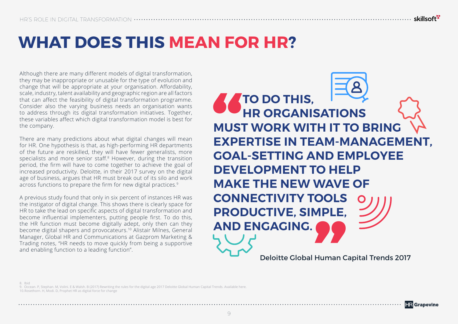# **WHAT DOES THIS MEAN FOR HR?**

Although there are many different models of digital transformation, they may be inappropriate or unusable for the type of evolution and change that will be appropriate at your organisation. Affordability, scale, industry, talent availability and geographic region are all factors that can affect the feasibility of digital transformation programme. Consider also the varying business needs an organisation wants to address through its digital transformation initiatives. Together, these variables affect which digital transformation model is best for the company.

There are many predictions about what digital changes will mean for HR. One hypothesis is that, as high-performing HR departments of the future are reskilled, they will have fewer generalists, more specialists and more senior staff.<sup>8</sup> However, during the transition period, the firm will have to come together to achieve the goal of increased productivity. Deloitte, in their 2017 survey on the digital age of business, argues that HR must break out of its silo and work across functions to prepare the firm for new digital practices.<sup>9</sup>

A previous study found that only in six percent of instances HR was the instigator of digital change. This shows there is clearly space for HR to take the lead on specific aspects of digital transformation and become influential implementers, putting people first. To do this, the HR function must become digitally adept, only then can they become digital shapers and provocateurs.10 Alistair Milnes, General Manager, Global HR and Communications at Gazprom Marketing & Trading notes, "HR needs to move quickly from being a supportive and enabling function to a leading function".

**SS**<br>MUST<br>EXPE<br>GOAL **TO DO THIS, HR ORGANISATIONS MUST WORK WITH IT TO BRING EXPERTISE IN TEAM-MANAGEMENT, GOAL-SETTING AND EMPLOYEE DEVELOPMENT TO HELP MAKE THE NEW WAVE OF CONNECTIVITY TOOLS PRODUCTIVE, SIMPLE, AND ENGAGING. Maria Channel** Deloitte Global Human Capital Trends 2017

8. 9. 10. Ibid Occean. P, Stephan. M, Volini. E & Walsh. B (2017) Rewriting the rules for the digital age 2017 Deloitte Global Human Capital Trends. Available here. Rosethorn. H, Modi. D, Prophet HR as digital force for change



**HR** Grapevine

skillsoft<sup>\*</sup>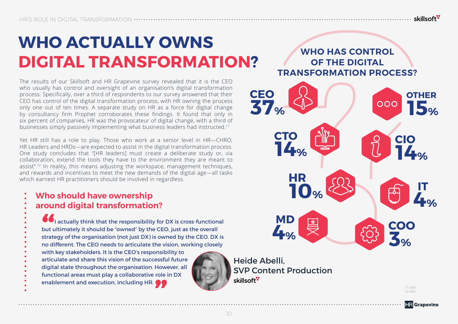# **WHO ACTUALLY OWNS DIGITAL TRANSFORMATION?**

The results of our Skillsoft and HR Grapevine survey revealed that it is the CEO who usually has control and oversight of an organisation's digital transformation process. Specifically, over a third of respondents to our survey answered that their CEO has control of the digital transformation process, with HR owning the process only one out of ten times. A separate study on HR as a force for digital change by consultancy firm Prophet corroborates these findings. It found that only in six percent of companies, HR was the provocateur of digital change, with a third of businesses simply passively implementing what business leaders had instructed.11

Yet HR still has a role to play. Those who work at a senior level in HR—CHRO, HR Leaders and HRDs—are expected to assist in the digital transformation process. One study concludes that "[HR leaders] must create a deliberate study or, via collaboration, extend the tools they have to the environment they are meant to assist".12 In reality, this means adjusting the workspace, management techniques, and rewards and incentives to meet the new demands of the digital age—all tasks which earnest HR practitioners should be involved in regardless.

#### **Who should have ownership around digital transformation?**

**66**<br>but u<br>strate<br>no di I actually think that the responsibility for DX is cross-functional but ultimately it should be "owned" by the CEO, just as the overall strategy of the organisation (not just DX) is owned by the CEO. DX is no different. The CEO needs to articulate the vision, working closely with key stakeholders. It is the CEO's responsibility to articulate and share this vision of the successful future digital state throughout the organisation. However, all

functional areas must play a collaborative role in DX enablement and execution, including HR.  $\bullet\bullet$ 



Heide Abelli, SVP Content Production skillsoft<sup>\*</sup>

**WHO HAS CONTROL OF THE DIGITAL TRANSFORMATION PROCESS?**



11.Ibid 12.Ibid

**HR** Grapevine

skillsoft<sup>"</sup>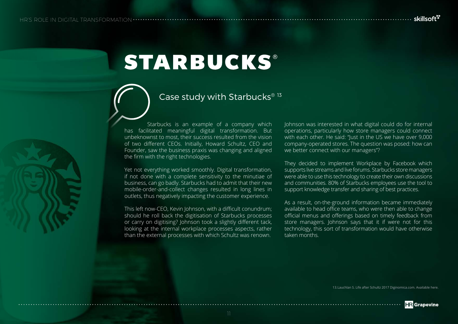# **STARBUCKS®**

### Case study with Starbucks®<sup>13</sup>

Starbucks is an example of a company which has facilitated meaningful digital transformation. But unbeknownst to most, their success resulted from the vision of two different CEOs. Initially, Howard Schultz, CEO and Founder, saw the business praxis was changing and aligned the firm with the right technologies.

Yet not everything worked smoothly. Digital transformation, if not done with a complete sensitivity to the minutiae of business, can go badly. Starbucks had to admit that their new mobile-order-and-collect changes resulted in long lines in outlets, thus negatively impacting the customer experience.

This left now-CEO, Kevin Johnson, with a difficult conundrum; should he roll back the digitisation of Starbucks processes or carry on digitising? Johnson took a slightly different tack, looking at the internal workplace processes aspects, rather than the external processes with which Schultz was renown.

Johnson was interested in what digital could do for internal operations, particularly how store managers could connect with each other. He said: "Just in the US we have over 9,000 company-operated stores. The question was posed: how can we better connect with our managers"?

They decided to implement Workplace by Facebook which supports live streams and live forums. Starbucks store managers were able to use this technology to create their own discussions and communities. 80% of Starbucks employees use the tool to support knowledge transfer and sharing of best practices.

As a result, on-the-ground information became immediately available to head office teams, who were then able to change official menus and offerings based on timely feedback from store managers. Johnson says that it if were not for this technology, this sort of transformation would have otherwise taken months.



skillsoft<sup>s</sup>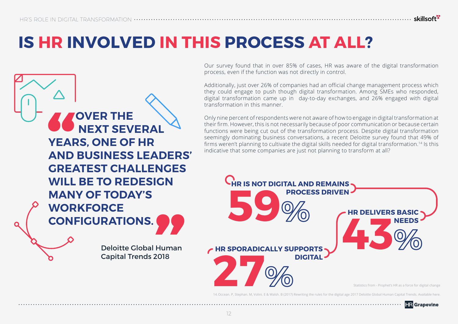# **IS HR INVOLVED IN THIS PROCESS AT ALL?**

process, even if the function was not directly in control. Additionally, just over 26% of companies had an official change management process which they could engage to push though digital transformation. Among SMEs who responded, digital transformation came up in day-to-day exchanges, and 26% engaged with digital transformation in this manner. Only nine percent of respondents were not aware of how to engage in digital transformation at their firm. However, this is not necessarily because of poor communication or because certain functions were being cut out of the transformation process. Despite digital transformation seemingly dominating business conversations, a recent Deloitte survey found that 49% of firms weren't planning to cultivate the digital skills needed for digital transformation.14 Is this **OVER THE NEXT SEVERAL YEARS, ONE OF HR**

**" GREATEST CHALLENGES WILL BE TO REDESIGN MANY OF TODAY'S WORKFORCE CONFIGURATIONS.**<br>
Deloitte Global Human<br>
Capital Trends 2018

**AND BUSINESS LEADERS'** 

Deloitte Global Human Capital Trends 2018



Our survey found that in over 85% of cases, HR was aware of the digital transformation

indicative that some companies are just not planning to transform at all?

14.Occean. P, Stephan. M, Volini. E & Walsh. B (2017) Rewriting the rules for the digital age 2017 Deloitte Global Human Capital Trends. Available here.



skillsoft<sup>"</sup>

12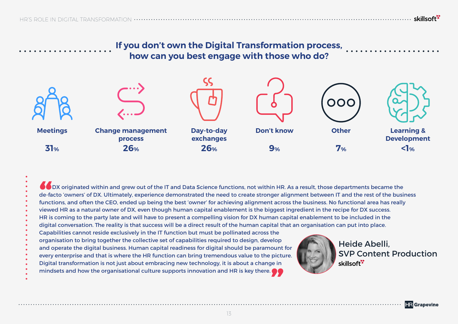### **If you don't own the Digital Transformation process, how can you best engage with those who do?**

………………………………………………………………………………………… skillsoft<sup>ry</sup>



**66**<br>de-fa<br>funct<br>view DX originated within and grew out of the IT and Data Science functions, not within HR. As a result, those departments became the de-facto 'owners' of DX. Ultimately, experience demonstrated the need to create stronger alignment between IT and the rest of the business functions, and often the CEO, ended up being the best 'owner' for achieving alignment across the business. No functional area has really viewed HR as a natural owner of DX, even though human capital enablement is the biggest ingredient in the recipe for DX success. HR is coming to the party late and will have to present a compelling vision for DX human capital enablement to be included in the digital conversation. The reality is that success will be a direct result of the human capital that an organisation can put into place. Capabilities cannot reside exclusively in the IT function but must be pollinated across the organisation to bring together the collective set of capabilities required to design, develop Heide Abelli, and operate the digital business. Human capital readiness for digital should be paramount for SVP Content Production every enterprise and that is where the HR function can bring tremendous value to the picture. skillsoft<sup>\*</sup> Digital transformation is not just about embracing new technology, it is about a change in mindsets and how the organisational culture supports innovation and HR is key there. **"**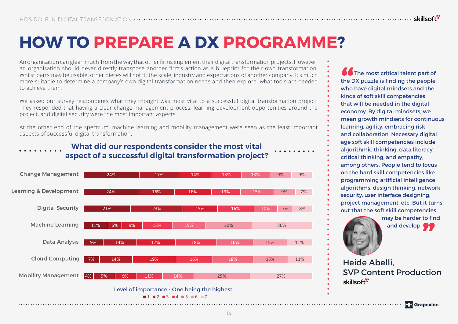An organisation can glean much from the way that other firms implement their digital transformation projects. However, an organisation should never directly transpose another firm's action as a blueprint for their own transformation. Whilst parts may be usable, other pieces will not fit the scale, industry and expectations of another company. It's much more suitable to determine a company's own digital transformation needs and then explore what tools are needed to achieve them.

We asked our survey respondents what they thought was most vital to a successful digital transformation project. They responded that having a clear change management process, learning development opportunities around the project, and digital security were the most important aspects.

At the other end of the spectrum, machine learning and mobility management were seen as the least important aspects of successful digital transformation.



**What did our respondents consider the most vital aspect of a successful digital transformation project?**

**66**<br>the D<br>who<br>kinds The most critical talent part of the DX puzzle is finding the people who have digital mindsets and the kinds of soft skill competencies that will be needed in the digital economy. By digital mindsets, we mean growth mindsets for continuous learning, agility, embracing risk and collaboration. Necessary digital age soft skill competencies include algorithmic thinking, data literacy, critical thinking, and empathy, among others. People tend to focus on the hard skill competencies like programming artificial intelligence algorithms, design thinking, network security, user interface designing, project management, etc. But it turns out that the soft skill competencies may be harder to find and develop.

Heide Abelli, SVP Content Production skillsoft<sup>\*</sup>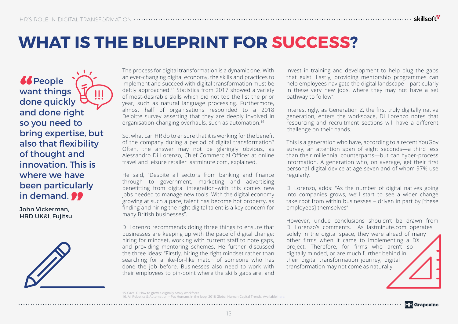## **WHAT IS THE BLUEPRINT FOR SUCCESS?**

*<u>K</u>*<br>wa<br>dol **66** People want things done quickly and done right so you need to bring expertise, but also that flexibility of thought and innovation. This is where we have been particularly **in demand. ??**<br>John Vickerman,<br>HRD UK&I, Fujitsu

John Vickerman, HRD UK&I, Fujitsu

The process for digital transformation is a dynamic one. With an ever-changing digital economy, the skills and practices to implement and succeed with digital transformation must be deftly approached.15 Statistics from 2017 showed a variety of most-desirable skills which did not top the list the prior year, such as natural language processing. Furthermore, almost half of organisations responded to a 2018 Deloitte survey asserting that they are deeply involved in organisation-changing overhauls, such as automation.16

So, what can HR do to ensure that it is working for the benefit of the company during a period of digital transformation? Often, the answer may not be glaringly obvious, as Alessandro Di Lorenzo, Chief Commercial Officer at online travel and leisure retailer lastminute.com, explained.

He said, "Despite all sectors from banking and finance through to government, marketing and advertising benefitting from digital integration–with this comes new jobs needed to manage new tools. With the digital economy growing at such a pace, talent has become hot property, as finding and hiring the right digital talent is a key concern for many British businesses".

Di Lorenzo recommends doing three things to ensure that businesses are keeping up with the pace of digital change: hiring for mindset, working with current staff to note gaps, and providing mentoring schemes. He further discussed the three ideas: "Firstly, hiring the right mindset rather than searching for a like-for-like match of someone who has done the job before. Businesses also need to work with their employees to pin-point where the skills gaps are, and

invest in training and development to help plug the gaps that exist. Lastly, providing mentorship programmes can help employees navigate the digital landscape – particularly in these very new jobs, where they may not have a set pathway to follow".

Interestingly, as Generation Z, the first truly digitally native generation, enters the workspace, Di Lorenzo notes that resourcing and recruitment sections will have a different challenge on their hands.

This is a generation who have, according to a recent YouGov survey, an attention span of eight seconds—a third less than their millennial counterparts—but can hyper-process information. A generation who, on average, get their first personal digital device at age seven and of whom 97% use regularly.

Di Lorenzo, adds: "As the number of digital natives going into companies grows, we'll start to see a wider change take root from within businesses – driven in part by [these employees] themselves".

However, undue conclusions shouldn't be drawn from Di Lorenzo's comments. As lastminute.com operates solely in the digital space, they were ahead of many other firms when it came to implementing a DX project. Therefore, for firms who aren't so digitally minded, or are much further behind in their digital transformation journey, digital transformation may not come as naturally.

15.Cave. D How to grow a digitally savvy workforce Robotics & Automation – Put Humans in the loop, 2018 Global Human Capital Trends. Av skillsoft<sup>\*</sup>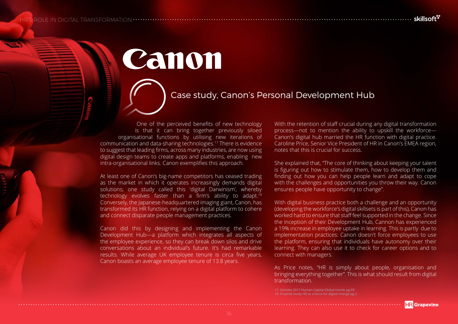HR'S ROLE IN DIGITAL TRANSFORMATION

…………. skillsoft<sup>r</sup>

Canon

### Case study, Canon's Personal Development Hub

One of the perceived benefits of new technology is that it can bring together previously siloed organisational functions by utilising new iterations of communication and data-sharing technologies.17 There is evidence to suggest that leading firms, across many industries, are now using digital design teams to create apps and platforms, enabling new intra-organisational links. Canon exemplifies this approach.

At least one of Canon's big-name competitors has ceased trading as the market in which it operates increasingly demands digital solutions; one study called this 'digital Darwinism', whereby technology evolves faster than a firm's ability to adapt.<sup>18</sup> Conversely, the Japanese-headquartered imaging giant, Canon, has transformed its HR function, relying on a digital platform to cohere and connect disparate people management practices.

Canon did this by designing and implementing the Canon Development Hub—a platform which integrates all aspects of the employee experience, so they can break down silos and drive conversations about an individual's future. It's had remarkable results. While average UK employee tenure is circa five years, Canon boasts an average employee tenure of 13.8 years.

With the retention of staff crucial during any digital transformation process—not to mention the ability to upskill the workforce— Canon's digital hub married the HR function with digital practice. Caroline Price, Senior Vice President of HR in Canon's EMEA region, notes that this is crucial for success.

She explained that, "The core of thinking about keeping your talent is figuring out how to stimulate them, how to develop them and finding out how you can help people learn and adapt to cope with the challenges and opportunities you throw their way. Canon ensures people have opportunity to change".

With digital business practice both a challenge and an opportunity (developing the workforce's digital skillsets is part of this), Canon has worked hard to ensure that staff feel supported in the change. Since the inception of their Development Hub, Cannon has experienced a 19% increase in employee uptake in learning. This is partly due to implementation practices: Canon doesn't force employees to use the platform, ensuring that individuals have autonomy over their learning. They can also use it to check for career options and to connect with managers.

As Price notes, "HR is simply about people, organisation and bringing everything together". This is what should result from digital transformation.

<sup>17.</sup> Deloitte 2017 Human Capital Global trends pg 89 18. Prophet study HR as a force for digital change pg 2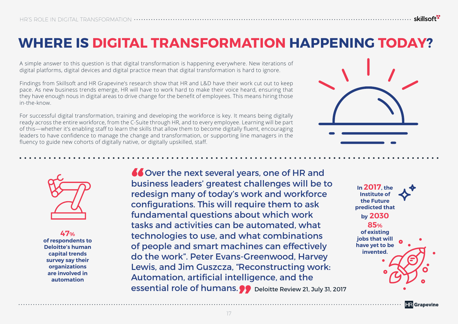### **WHERE IS DIGITAL TRANSFORMATION HAPPENING TODAY?**

A simple answer to this question is that digital transformation is happening everywhere. New iterations of digital platforms, digital devices and digital practice mean that digital transformation is hard to ignore.

Findings from Skillsoft and HR Grapevine's research show that HR and L&D have their work cut out to keep pace. As new business trends emerge, HR will have to work hard to make their voice heard, ensuring that they have enough nous in digital areas to drive change for the benefit of employees. This means hiring those in-the-know.

For successful digital transformation, training and developing the workforce is key. It means being digitally ready across the entire workforce, from the C-Suite through HR, and to every employee. Learning will be part of this—whether it's enabling staff to learn the skills that allow them to become digitally fluent, encouraging leaders to have confidence to manage the change and transformation, or supporting line managers in the fluency to guide new cohorts of digitally native, or digitally upskilled, staff.





**47% of respondents to Deloitte's human capital trends survey say their organizations are involved in automation**

**"** Over the next several years, one of HR and<br>business leaders' greatest challenges will be t<br>redesign many of today's work and workforce business leaders' greatest challenges will be to redesign many of today's work and workforce configurations. This will require them to ask fundamental questions about which work tasks and activities can be automated, what technologies to use, and what combinations of people and smart machines can effectively do the work". Peter Evans-Greenwood, Harvey Lewis, and Jim Guszcza, "Reconstructing work: Automation, artificial intelligence, and the essential role of humans.<br> **Example 21, July 31, 2017**<br>
T

**In 2017, the Institute of the Future predicted that by 2030 85% of existing jobs that will have yet to be invented.**

**HR** Grapevine

skillsoft<sup>"</sup>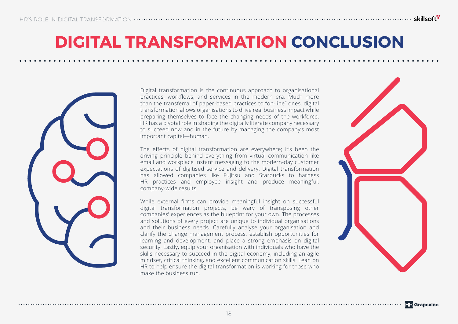## **DIGITAL TRANSFORMATION CONCLUSION**

………………………………………………………………………………………… skillsoft<sup>ry</sup>



Digital transformation is the continuous approach to organisational practices, workflows, and services in the modern era. Much more than the transferral of paper-based practices to "on-line" ones, digital transformation allows organisations to drive real business impact while preparing themselves to face the changing needs of the workforce. HR has a pivotal role in shaping the digitally literate company necessary to succeed now and in the future by managing the company's most important capital—human.

The effects of digital transformation are everywhere; it's been the driving principle behind everything from virtual communication like email and workplace instant messaging to the modern-day customer expectations of digitised service and delivery. Digital transformation has allowed companies like Fujitsu and Starbucks to harness HR practices and employee insight and produce meaningful, company-wide results.

While external firms can provide meaningful insight on successful digital transformation projects, be wary of transposing other companies' experiences as the blueprint for your own. The processes and solutions of every project are unique to individual organisations and their business needs. Carefully analyse your organisation and clarify the change management process, establish opportunities for learning and development, and place a strong emphasis on digital security. Lastly, equip your organisation with individuals who have the skills necessary to succeed in the digital economy, including an agile mindset, critical thinking, and excellent communication skills. Lean on HR to help ensure the digital transformation is working for those who make the business run.

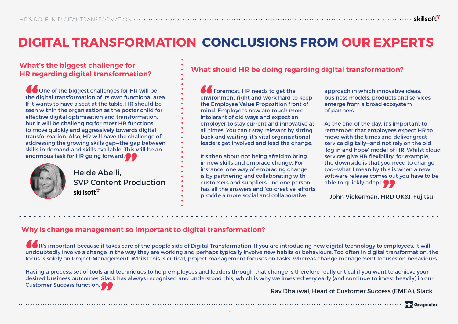### **DIGITAL TRANSFORMATION CONCLUSIONS FROM OUR EXPERTS**

### **What's the biggest challenge for**

**66**<br>the c<br>If it v<br>seen One of the biggest challenges for HR will be the digital transformation of its own functional area. If it wants to have a seat at the table, HR should be seen within the organisation as the poster child for effective digital optimisation and transformation, but it will be challenging for most HR functions to move quickly and aggressively towards digital transformation. Also, HR will have the challenge of addressing the growing skills gap—the gap between skills in demand and skills available. This will be an



enormous task for HR going forward.<br>
Heide Abelli,<br>
SVP Content Proc Heide Abelli, SVP Content Production skillsoft<sup>\*</sup>

### **HR regarding digital transformation? What should HR be doing regarding digital transformation?**

**Colume** Foremost. HR needs to get the environment right and work hard to keep the Employee Value Proposition front of mind. Employees now are much more intolerant of old ways and expect an employer to stay current and innovative at all times. You can't stay relevant by sitting back and waiting; it's vital organisational leaders get involved and lead the change.

It's then about not being afraid to bring in new skills and embrace change. For instance, one way of embracing change is by partnering and collaborating with customers and suppliers – no one person has all the answers and 'co-creative' efforts provide a more social and collaborative

approach in which innovative ideas, business models, products and services emerge from a broad ecosystem of partners.

At the end of the day, it's important to remember that employees expect HR to move with the times and deliver great service digitally—and not rely on the old 'log in and hope' model of HR. Whilst cloud services give HR flexibility, for example, the downside is that you need to change too—what I mean by this is when a new software release comes out you have to be able to quickly adapt.<br> **John Vickerman, HRD** 

John Vickerman, HRD UK&I, Fujitsu

#### **Why is change management so important to digital transformation?**

**66**<br>
unde<br>
focus It's important because it takes care of the people side of Digital Transformation. If you are introducing new digital technology to employees, it will undoubtedly involve a change in the way they are working and perhaps typically involve new habits or behaviours. Too often in digital transformation, the focus is solely on Project Management. Whilst this is critical, project management focuses on tasks, whereas change management focuses on behaviours.

Having a process, set of tools and techniques to help employees and leaders through that change is therefore really critical if you want to achieve your desired business outcomes. Slack has always recognised and understood this, which is why we invested very early (and continue to invest heavily) in our Customer Success function.<sup>1</sup>

Rav Dhaliwal, Head of Customer Success (EMEA), Slack

**HR** Grapevine